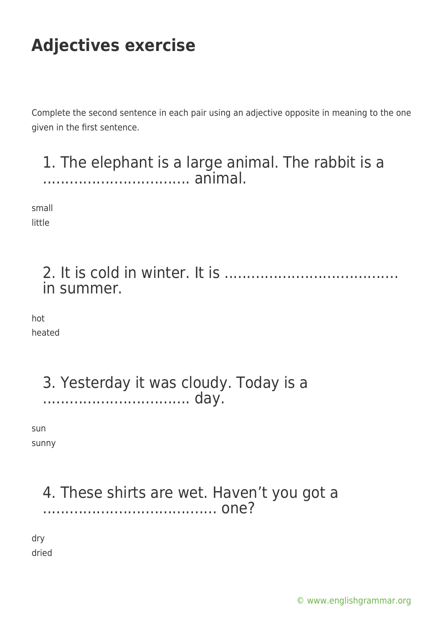Complete the second sentence in each pair using an adjective opposite in meaning to the one given in the first sentence.

1. The elephant is a large animal. The rabbit is a ................................. animal.

small little

> 2. It is cold in winter. It is ....................................... in summer.

hot heated

> 3. Yesterday it was cloudy. Today is a ................................. day.

sun sunny

### 4. These shirts are wet. Haven't you got a ....................................... one?

dry dried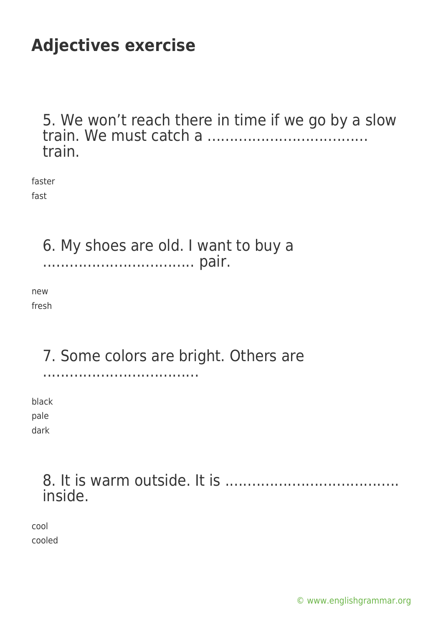5. We won't reach there in time if we go by a slow train. We must catch a .................................... train.

faster fast

> 6. My shoes are old. I want to buy a .................................. pair.

new fresh

### 7. Some colors are bright. Others are

...................................

black pale dark

#### 8. It is warm outside. It is ....................................... inside.

cool cooled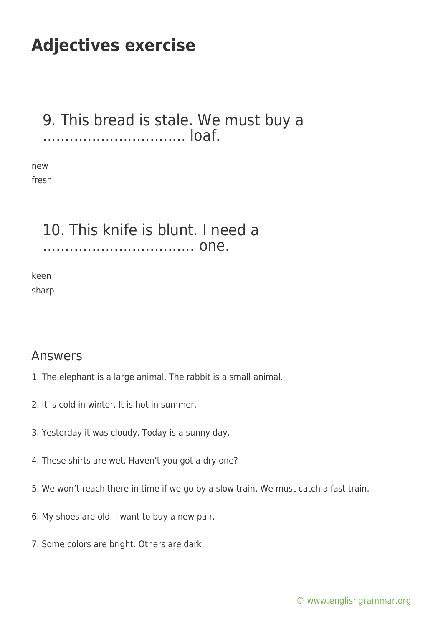#### 9. This bread is stale. We must buy a ................................ loaf.

new fresh

#### 10. This knife is blunt. I need a .................................. one.

keen sharp

#### Answers

- 1. The elephant is a large animal. The rabbit is a small animal.
- 2. It is cold in winter. It is hot in summer.
- 3. Yesterday it was cloudy. Today is a sunny day.
- 4. These shirts are wet. Haven't you got a dry one?
- 5. We won't reach there in time if we go by a slow train. We must catch a fast train.
- 6. My shoes are old. I want to buy a new pair.
- 7. Some colors are bright. Others are dark.